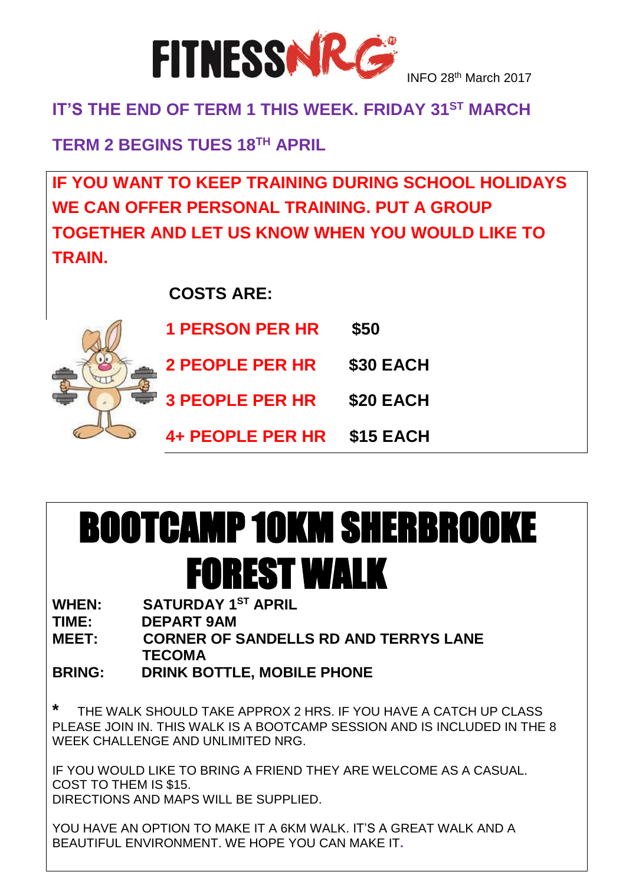

### **IT'S THE END OF TERM 1 THIS WEEK. FRIDAY 31ST MARCH**

**TERM 2 BEGINS TUES 18TH APRIL**

**IF YOU WANT TO KEEP TRAINING DURING SCHOOL HOLIDAYS WE CAN OFFER PERSONAL TRAINING. PUT A GROUP TOGETHER AND LET US KNOW WHEN YOU WOULD LIKE TO TRAIN.**

 **COSTS ARE:**



| <b>1 PERSON PER HR</b>  | \$50             |
|-------------------------|------------------|
| <b>2 PEOPLE PER HR</b>  | <b>\$30 EACH</b> |
| <b>3 PEOPLE PER HR</b>  | \$20 EACH        |
| <b>4+ PEOPLE PER HR</b> | \$15 EACH        |

# BOOTCAMP 10KM SHERBROOKE FOREST WALK

**WHEN: SATURDAY 1ST APRIL**

**TIME: DEPART 9AM**

**MEET: CORNER OF SANDELLS RD AND TERRYS LANE TECOMA**

**BRING: DRINK BOTTLE, MOBILE PHONE**

**\*** THE WALK SHOULD TAKE APPROX 2 HRS. IF YOU HAVE A CATCH UP CLASS PLEASE JOIN IN. THIS WALK IS A BOOTCAMP SESSION AND IS INCLUDED IN THE 8 WEEK CHALLENGE AND UNLIMITED NRG.

IF YOU WOULD LIKE TO BRING A FRIEND THEY ARE WELCOME AS A CASUAL. COST TO THEM IS \$15. DIRECTIONS AND MAPS WILL BE SUPPLIED.

YOU HAVE AN OPTION TO MAKE IT A 6KM WALK. IT'S A GREAT WALK AND A BEAUTIFUL ENVIRONMENT. WE HOPE YOU CAN MAKE IT**.**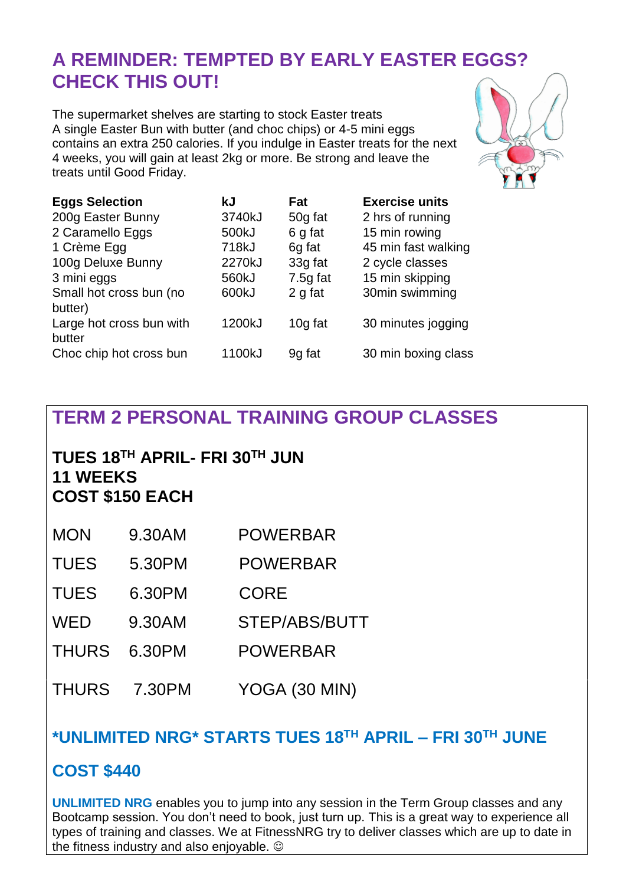# **A REMINDER: TEMPTED BY EARLY EASTER EGGS? CHECK THIS OUT!**

The supermarket shelves are starting to stock Easter treats A single Easter Bun with butter (and choc chips) or 4-5 mini eggs contains an extra 250 calories. If you indulge in Easter treats for the next 4 weeks, you will gain at least 2kg or more. Be strong and leave the treats until Good Friday.



| <b>Eggs Selection</b>    | kJ     | Fat        | <b>Exercise units</b> |
|--------------------------|--------|------------|-----------------------|
| 200g Easter Bunny        | 3740kJ | 50g fat    | 2 hrs of running      |
| 2 Caramello Eggs         | 500kJ  | 6 g fat    | 15 min rowing         |
| 1 Crème Egg              | 718kJ  | 6g fat     | 45 min fast walking   |
| 100g Deluxe Bunny        | 2270kJ | 33g fat    | 2 cycle classes       |
| 3 mini eggs              | 560kJ  | $7.5g$ fat | 15 min skipping       |
| Small hot cross bun (no  | 600kJ  | 2 g fat    | 30min swimming        |
| butter)                  |        |            |                       |
| Large hot cross bun with | 1200kJ | 10g fat    | 30 minutes jogging    |
| butter                   |        |            |                       |
| Choc chip hot cross bun  | 1100kJ | 9g fat     | 30 min boxing class   |
|                          |        |            |                       |

# **TERM 2 PERSONAL TRAINING GROUP CLASSES**

#### **TUES 18TH APRIL- FRI 30TH JUN 11 WEEKS COST \$150 EACH**

| <b>MON</b>   | 9.30AM | <b>POWERBAR</b> |
|--------------|--------|-----------------|
| <b>TUES</b>  | 5.30PM | <b>POWERBAR</b> |
| <b>TUES</b>  | 6.30PM | <b>CORE</b>     |
| <b>WED</b>   | 9.30AM | STEP/ABS/BUTT   |
| <b>THURS</b> | 6.30PM | <b>POWERBAR</b> |
| <b>THURS</b> | 7.30PM | YOGA (30 MIN)   |

#### **\*UNLIMITED NRG\* STARTS TUES 18TH APRIL – FRI 30TH JUNE**

#### **COST \$440**

**UNLIMITED NRG** enables you to jump into any session in the Term Group classes and any Bootcamp session. You don't need to book, just turn up. This is a great way to experience all types of training and classes. We at FitnessNRG try to deliver classes which are up to date in the fitness industry and also enjoyable.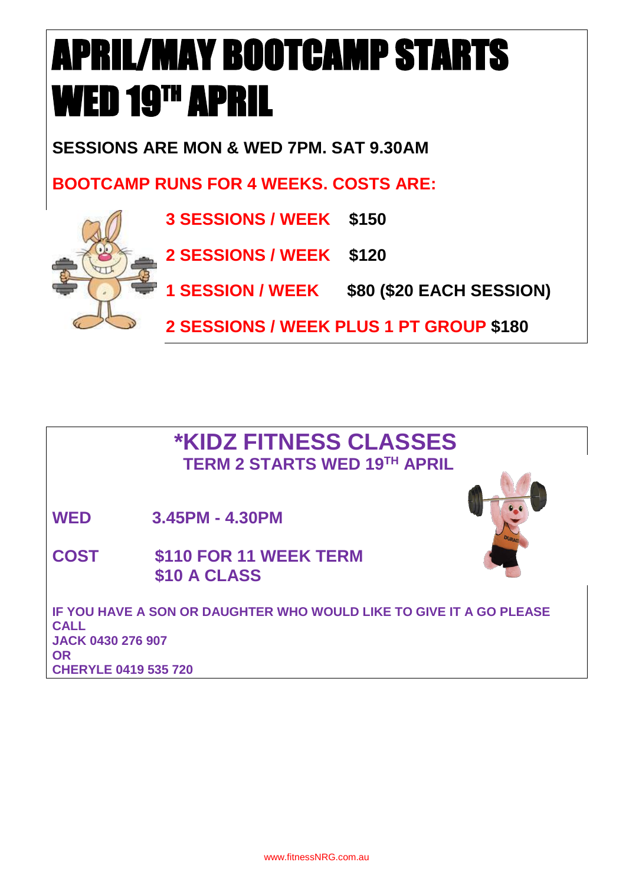# APRIL/MAY BOOTCAMP STARTS WED 19<sup>th</sup> APRIL

**SESSIONS ARE MON & WED 7PM. SAT 9.30AM**

**BOOTCAMP RUNS FOR 4 WEEKS. COSTS ARE:**





**1 SESSION / WEEK \$80 (\$20 EACH SESSION)**

**2 SESSIONS / WEEK PLUS 1 PT GROUP \$180**

## **\*KIDZ FITNESS CLASSES TERM 2 STARTS WED 19TH APRIL**

**WED 3.45PM - 4.30PM**

**COST \$110 FOR 11 WEEK TERM \$10 A CLASS**



**IF YOU HAVE A SON OR DAUGHTER WHO WOULD LIKE TO GIVE IT A GO PLEASE CALL JACK 0430 276 907 OR CHERYLE 0419 535 720**